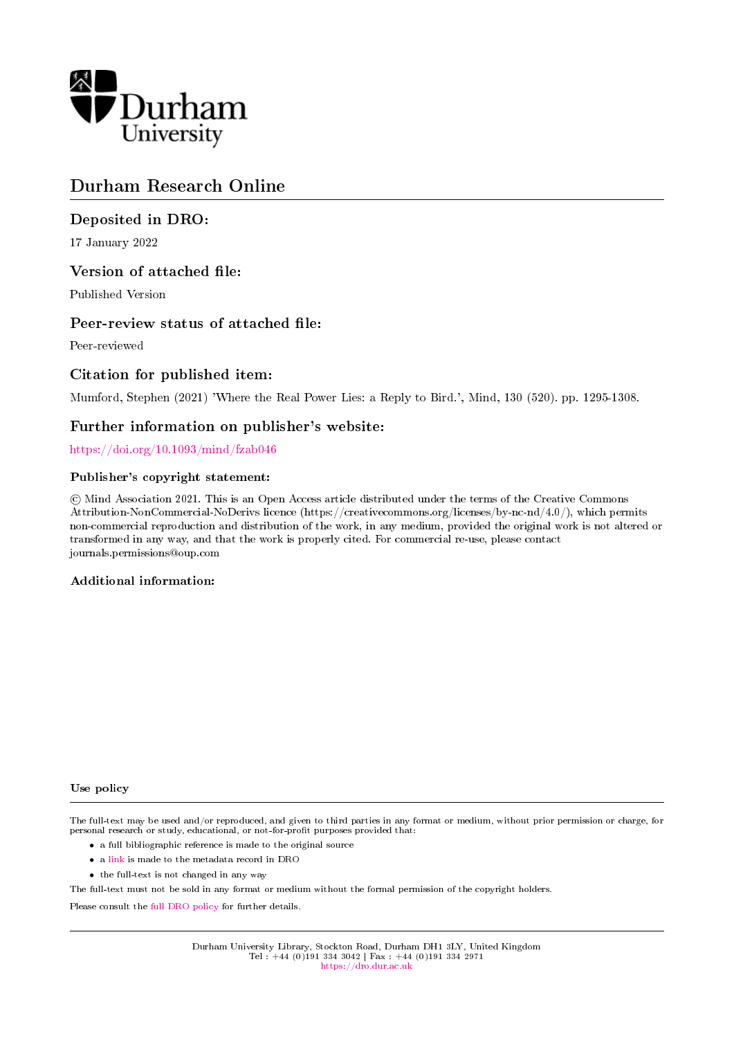

# Durham Research Online

## Deposited in DRO:

17 January 2022

## Version of attached file:

Published Version

## Peer-review status of attached file:

Peer-reviewed

## Citation for published item:

Mumford, Stephen (2021) 'Where the Real Power Lies: a Reply to Bird.', Mind, 130 (520). pp. 1295-1308.

### Further information on publisher's website:

<https://doi.org/10.1093/mind/fzab046>

### Publisher's copyright statement:

 c Mind Association 2021. This is an Open Access article distributed under the terms of the Creative Commons Attribution-NonCommercial-NoDerivs licence (https://creativecommons.org/licenses/by-nc-nd/4.0/), which permits non-commercial reproduction and distribution of the work, in any medium, provided the original work is not altered or transformed in any way, and that the work is properly cited. For commercial re-use, please contact journals.permissions@oup.com

### Additional information:

#### Use policy

The full-text may be used and/or reproduced, and given to third parties in any format or medium, without prior permission or charge, for personal research or study, educational, or not-for-profit purposes provided that:

- a full bibliographic reference is made to the original source
- a [link](http://dro.dur.ac.uk/35106/) is made to the metadata record in DRO
- the full-text is not changed in any way

The full-text must not be sold in any format or medium without the formal permission of the copyright holders.

Please consult the [full DRO policy](https://dro.dur.ac.uk/policies/usepolicy.pdf) for further details.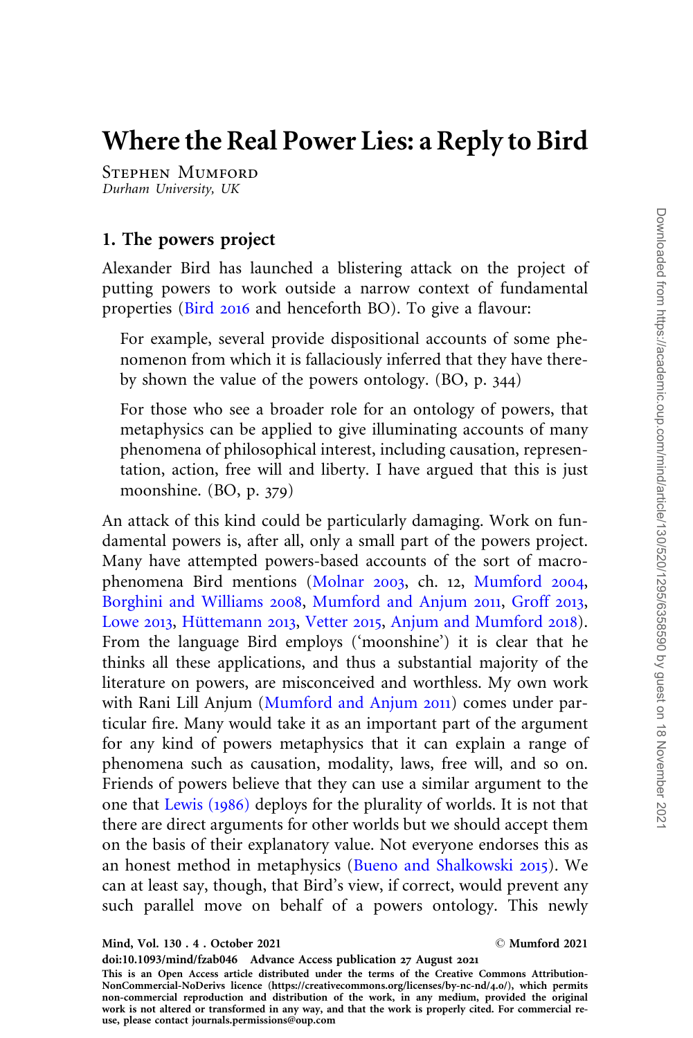# Where the Real Power Lies: a Reply to Bird

Stephen Mumford Durham University, UK

### 1. The powers project

Alexander Bird has launched a blistering attack on the project of putting powers to work outside a narrow context of fundamental properties ([Bird](#page-13-0) 2016 and henceforth BO). To give a flavour:

For example, several provide dispositional accounts of some phenomenon from which it is fallaciously inferred that they have thereby shown the value of the powers ontology. (BO, p. 344)

For those who see a broader role for an ontology of powers, that metaphysics can be applied to give illuminating accounts of many phenomena of philosophical interest, including causation, representation, action, free will and liberty. I have argued that this is just moonshine. (BO, p. 379)

An attack of this kind could be particularly damaging. Work on fundamental powers is, after all, only a small part of the powers project. Many have attempted powers-based accounts of the sort of macrophenomena Bird mentions ([Molnar](#page-13-0) 2003, ch. 12, [Mumford](#page-14-0) 2004, [Borghini and Williams](#page-13-0) 2008, [Mumford and Anjum](#page-14-0) 2011, [Groff](#page-13-0) 2013, [Lowe](#page-13-0) 2013, Hüttemann 2013, [Vetter](#page-14-0) 2015, [Anjum and Mumford](#page-13-0) 2018). From the language Bird employs ('moonshine') it is clear that he thinks all these applications, and thus a substantial majority of the literature on powers, are misconceived and worthless. My own work with Rani Lill Anjum ([Mumford and Anjum](#page-14-0) 2011) comes under particular fire. Many would take it as an important part of the argument for any kind of powers metaphysics that it can explain a range of phenomena such as causation, modality, laws, free will, and so on. Friends of powers believe that they can use a similar argument to the one that [Lewis \(](#page-13-0)1986) deploys for the plurality of worlds. It is not that there are direct arguments for other worlds but we should accept them on the basis of their explanatory value. Not everyone endorses this as an honest method in metaphysics ([Bueno and Shalkowski](#page-13-0) 2015). We can at least say, though, that Bird's view, if correct, would prevent any such parallel move on behalf of a powers ontology. This newly

Mind, Vol. 130 . 4 . October 2021

doi:10.1093/mind/fzab046 Advance Access publication 27 August 2021

This is an Open Access article distributed under the terms of the Creative Commons Attribution-NonCommercial-NoDerivs licence (https://creativecommons.org/licenses/by-nc-nd/4.0/), which permits non-commercial reproduction and distribution of the work, in any medium, provided the original work is not altered or transformed in any way, and that the work is properly cited. For commercial reuse, please contact journals.permissions@oup.com

Mumford 2021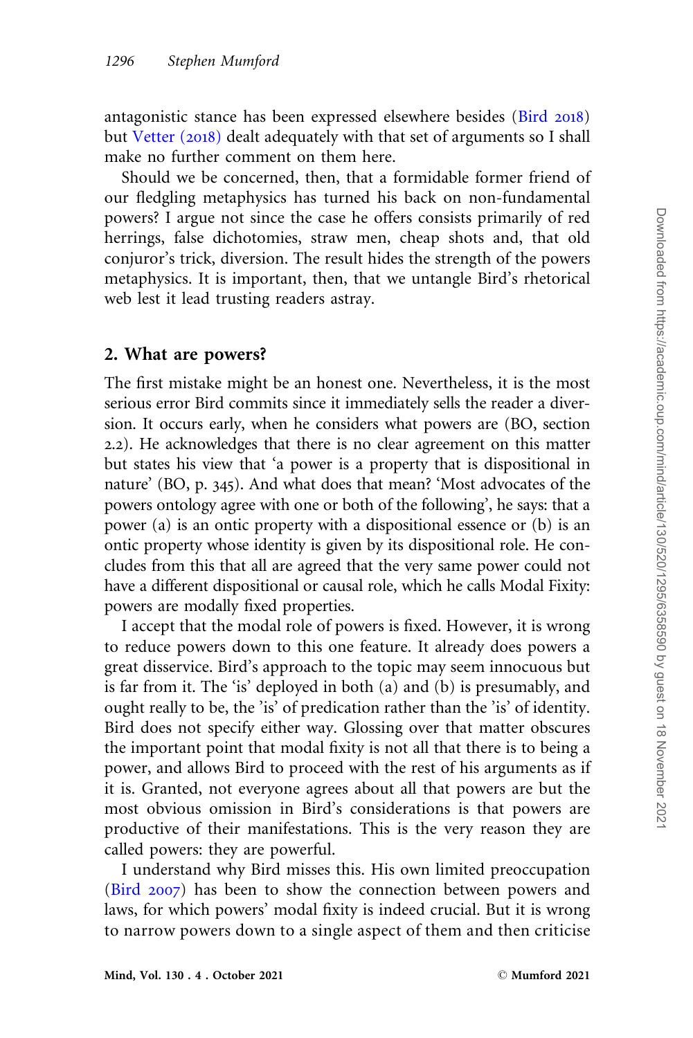antagonistic stance has been expressed elsewhere besides ([Bird](#page-13-0) 2018) but [Vetter \(](#page-14-0)2018) dealt adequately with that set of arguments so I shall make no further comment on them here.

Should we be concerned, then, that a formidable former friend of our fledgling metaphysics has turned his back on non-fundamental powers? I argue not since the case he offers consists primarily of red herrings, false dichotomies, straw men, cheap shots and, that old conjuror's trick, diversion. The result hides the strength of the powers metaphysics. It is important, then, that we untangle Bird's rhetorical web lest it lead trusting readers astray.

#### 2. What are powers?

The first mistake might be an honest one. Nevertheless, it is the most serious error Bird commits since it immediately sells the reader a diversion. It occurs early, when he considers what powers are (BO, section 2.2). He acknowledges that there is no clear agreement on this matter but states his view that 'a power is a property that is dispositional in nature' (BO, p. 345). And what does that mean? 'Most advocates of the powers ontology agree with one or both of the following', he says: that a power (a) is an ontic property with a dispositional essence or (b) is an ontic property whose identity is given by its dispositional role. He concludes from this that all are agreed that the very same power could not have a different dispositional or causal role, which he calls Modal Fixity: powers are modally fixed properties.

I accept that the modal role of powers is fixed. However, it is wrong to reduce powers down to this one feature. It already does powers a great disservice. Bird's approach to the topic may seem innocuous but is far from it. The 'is' deployed in both (a) and (b) is presumably, and ought really to be, the 'is' of predication rather than the 'is' of identity. Bird does not specify either way. Glossing over that matter obscures the important point that modal fixity is not all that there is to being a power, and allows Bird to proceed with the rest of his arguments as if it is. Granted, not everyone agrees about all that powers are but the most obvious omission in Bird's considerations is that powers are productive of their manifestations. This is the very reason they are called powers: they are powerful.

I understand why Bird misses this. His own limited preoccupation ([Bird](#page-13-0) 2007) has been to show the connection between powers and laws, for which powers' modal fixity is indeed crucial. But it is wrong to narrow powers down to a single aspect of them and then criticise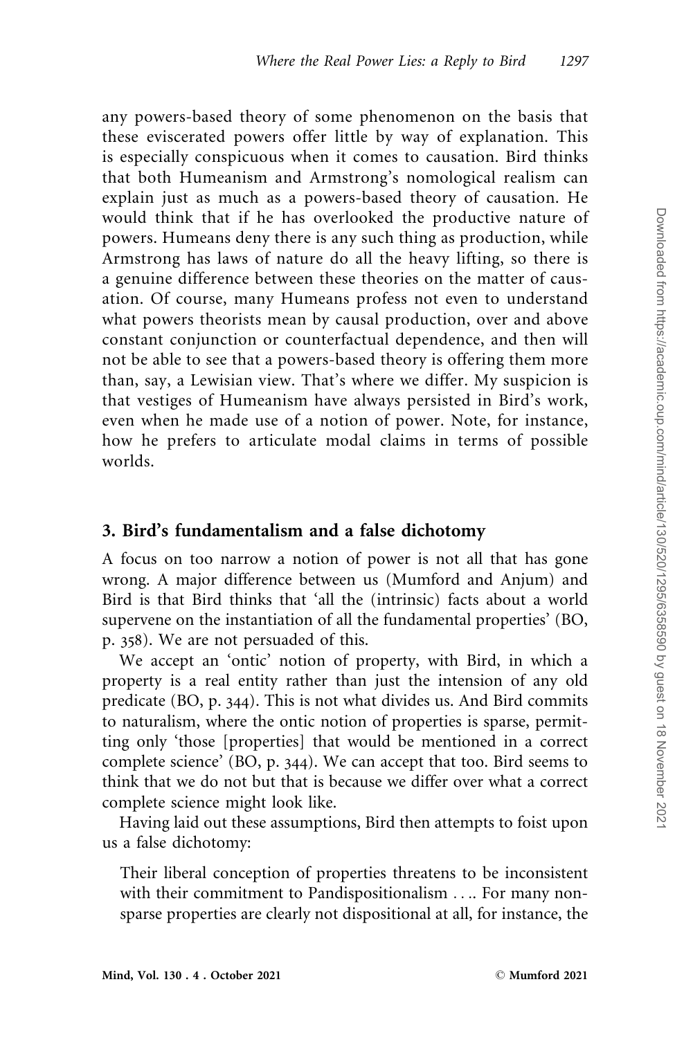any powers-based theory of some phenomenon on the basis that these eviscerated powers offer little by way of explanation. This is especially conspicuous when it comes to causation. Bird thinks that both Humeanism and Armstrong's nomological realism can explain just as much as a powers-based theory of causation. He would think that if he has overlooked the productive nature of powers. Humeans deny there is any such thing as production, while Armstrong has laws of nature do all the heavy lifting, so there is a genuine difference between these theories on the matter of causation. Of course, many Humeans profess not even to understand what powers theorists mean by causal production, over and above constant conjunction or counterfactual dependence, and then will not be able to see that a powers-based theory is offering them more than, say, a Lewisian view. That's where we differ. My suspicion is that vestiges of Humeanism have always persisted in Bird's work, even when he made use of a notion of power. Note, for instance, how he prefers to articulate modal claims in terms of possible worlds.

## 3. Bird's fundamentalism and a false dichotomy

A focus on too narrow a notion of power is not all that has gone wrong. A major difference between us (Mumford and Anjum) and Bird is that Bird thinks that 'all the (intrinsic) facts about a world supervene on the instantiation of all the fundamental properties' (BO, p. 358). We are not persuaded of this.

We accept an 'ontic' notion of property, with Bird, in which a property is a real entity rather than just the intension of any old predicate (BO, p. 344). This is not what divides us. And Bird commits to naturalism, where the ontic notion of properties is sparse, permitting only 'those [properties] that would be mentioned in a correct complete science' (BO, p. 344). We can accept that too. Bird seems to think that we do not but that is because we differ over what a correct complete science might look like.

Having laid out these assumptions, Bird then attempts to foist upon us a false dichotomy:

Their liberal conception of properties threatens to be inconsistent with their commitment to Pandispositionalism .... For many nonsparse properties are clearly not dispositional at all, for instance, the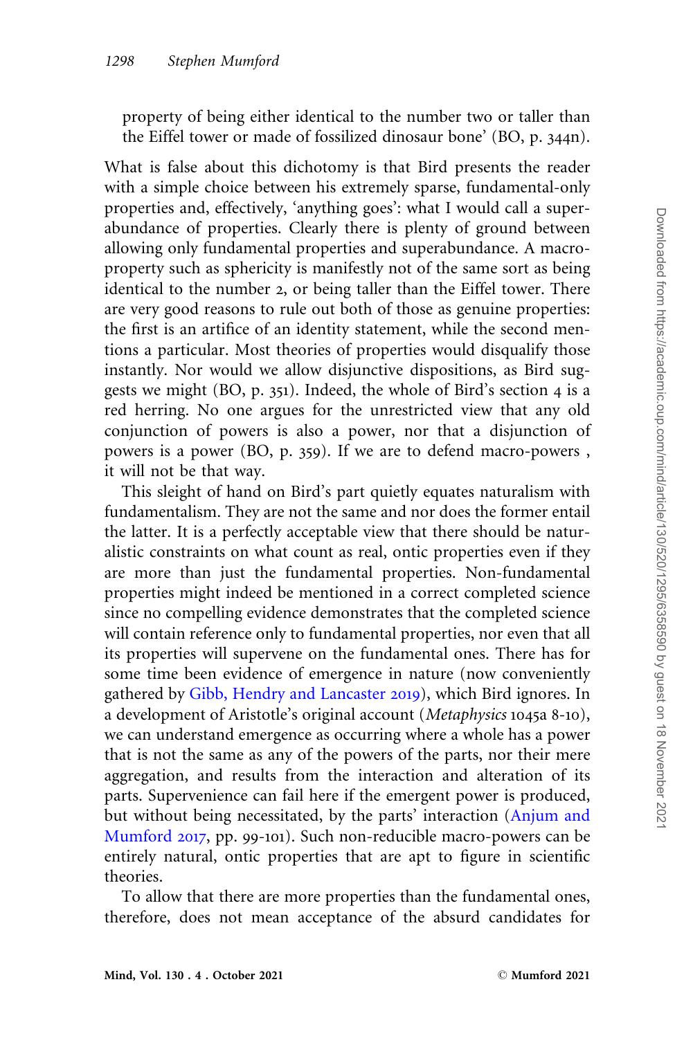property of being either identical to the number two or taller than the Eiffel tower or made of fossilized dinosaur bone' (BO, p. 344n).

What is false about this dichotomy is that Bird presents the reader with a simple choice between his extremely sparse, fundamental-only properties and, effectively, 'anything goes': what I would call a superabundance of properties. Clearly there is plenty of ground between allowing only fundamental properties and superabundance. A macroproperty such as sphericity is manifestly not of the same sort as being identical to the number 2, or being taller than the Eiffel tower. There are very good reasons to rule out both of those as genuine properties: the first is an artifice of an identity statement, while the second mentions a particular. Most theories of properties would disqualify those instantly. Nor would we allow disjunctive dispositions, as Bird suggests we might (BO, p. 351). Indeed, the whole of Bird's section 4 is a red herring. No one argues for the unrestricted view that any old conjunction of powers is also a power, nor that a disjunction of powers is a power (BO, p. 359). If we are to defend macro-powers , it will not be that way.

This sleight of hand on Bird's part quietly equates naturalism with fundamentalism. They are not the same and nor does the former entail the latter. It is a perfectly acceptable view that there should be naturalistic constraints on what count as real, ontic properties even if they are more than just the fundamental properties. Non-fundamental properties might indeed be mentioned in a correct completed science since no compelling evidence demonstrates that the completed science will contain reference only to fundamental properties, nor even that all its properties will supervene on the fundamental ones. There has for some time been evidence of emergence in nature (now conveniently gathered by [Gibb, Hendry and Lancaster](#page-13-0) 2019), which Bird ignores. In a development of Aristotle's original account (Metaphysics 1045a 8-10), we can understand emergence as occurring where a whole has a power that is not the same as any of the powers of the parts, nor their mere aggregation, and results from the interaction and alteration of its parts. Supervenience can fail here if the emergent power is produced, but without being necessitated, by the parts' interaction [\(Anjum and](#page-12-0) [Mumford](#page-12-0) 2017, pp. 99-101). Such non-reducible macro-powers can be entirely natural, ontic properties that are apt to figure in scientific theories.

To allow that there are more properties than the fundamental ones, therefore, does not mean acceptance of the absurd candidates for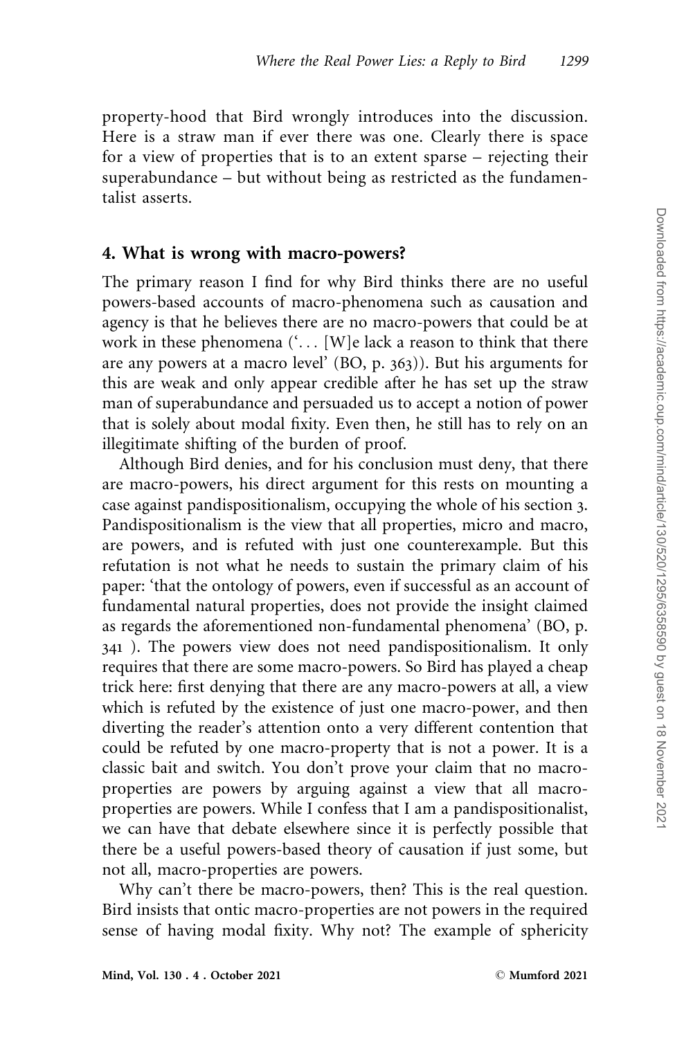property-hood that Bird wrongly introduces into the discussion. Here is a straw man if ever there was one. Clearly there is space for a view of properties that is to an extent sparse – rejecting their superabundance – but without being as restricted as the fundamentalist asserts.

## 4. What is wrong with macro-powers?

The primary reason I find for why Bird thinks there are no useful powers-based accounts of macro-phenomena such as causation and agency is that he believes there are no macro-powers that could be at work in these phenomena ('... [W]e lack a reason to think that there are any powers at a macro level' (BO, p. 363)). But his arguments for this are weak and only appear credible after he has set up the straw man of superabundance and persuaded us to accept a notion of power that is solely about modal fixity. Even then, he still has to rely on an illegitimate shifting of the burden of proof.

Although Bird denies, and for his conclusion must deny, that there are macro-powers, his direct argument for this rests on mounting a case against pandispositionalism, occupying the whole of his section 3. Pandispositionalism is the view that all properties, micro and macro, are powers, and is refuted with just one counterexample. But this refutation is not what he needs to sustain the primary claim of his paper: 'that the ontology of powers, even if successful as an account of fundamental natural properties, does not provide the insight claimed as regards the aforementioned non-fundamental phenomena' (BO, p. 341 ). The powers view does not need pandispositionalism. It only requires that there are some macro-powers. So Bird has played a cheap trick here: first denying that there are any macro-powers at all, a view which is refuted by the existence of just one macro-power, and then diverting the reader's attention onto a very different contention that could be refuted by one macro-property that is not a power. It is a classic bait and switch. You don't prove your claim that no macroproperties are powers by arguing against a view that all macroproperties are powers. While I confess that I am a pandispositionalist, we can have that debate elsewhere since it is perfectly possible that there be a useful powers-based theory of causation if just some, but not all, macro-properties are powers.

Why can't there be macro-powers, then? This is the real question. Bird insists that ontic macro-properties are not powers in the required sense of having modal fixity. Why not? The example of sphericity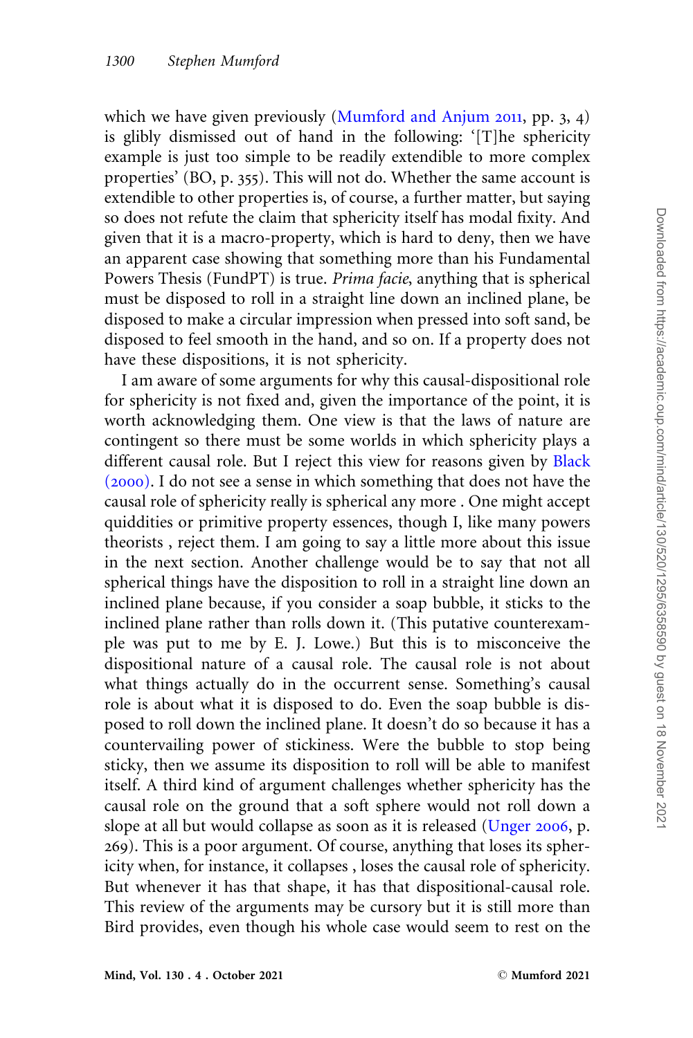which we have given previously [\(Mumford and Anjum](#page-14-0) 2011, pp. 3, 4) is glibly dismissed out of hand in the following: '[T]he sphericity example is just too simple to be readily extendible to more complex properties' (BO, p. 355). This will not do. Whether the same account is extendible to other properties is, of course, a further matter, but saying so does not refute the claim that sphericity itself has modal fixity. And given that it is a macro-property, which is hard to deny, then we have an apparent case showing that something more than his Fundamental Powers Thesis (FundPT) is true. Prima facie, anything that is spherical must be disposed to roll in a straight line down an inclined plane, be disposed to make a circular impression when pressed into soft sand, be disposed to feel smooth in the hand, and so on. If a property does not have these dispositions, it is not sphericity.

I am aware of some arguments for why this causal-dispositional role for sphericity is not fixed and, given the importance of the point, it is worth acknowledging them. One view is that the laws of nature are contingent so there must be some worlds in which sphericity plays a different causal role. But I reject this view for reasons given by [Black](#page-13-0) ([2000](#page-13-0)). I do not see a sense in which something that does not have the causal role of sphericity really is spherical any more . One might accept quiddities or primitive property essences, though I, like many powers theorists , reject them. I am going to say a little more about this issue in the next section. Another challenge would be to say that not all spherical things have the disposition to roll in a straight line down an inclined plane because, if you consider a soap bubble, it sticks to the inclined plane rather than rolls down it. (This putative counterexample was put to me by E. J. Lowe.) But this is to misconceive the dispositional nature of a causal role. The causal role is not about what things actually do in the occurrent sense. Something's causal role is about what it is disposed to do. Even the soap bubble is disposed to roll down the inclined plane. It doesn't do so because it has a countervailing power of stickiness. Were the bubble to stop being sticky, then we assume its disposition to roll will be able to manifest itself. A third kind of argument challenges whether sphericity has the causal role on the ground that a soft sphere would not roll down a slope at all but would collapse as soon as it is released ([Unger](#page-14-0) 2006, p. 269). This is a poor argument. Of course, anything that loses its sphericity when, for instance, it collapses , loses the causal role of sphericity. But whenever it has that shape, it has that dispositional-causal role. This review of the arguments may be cursory but it is still more than Bird provides, even though his whole case would seem to rest on the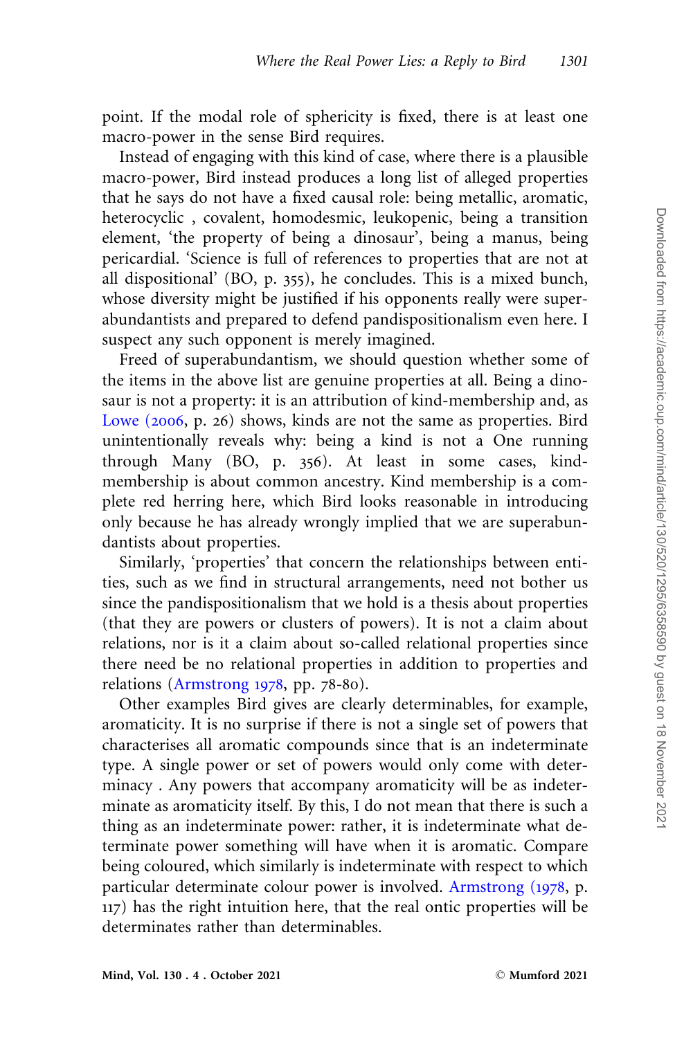point. If the modal role of sphericity is fixed, there is at least one macro-power in the sense Bird requires.

Instead of engaging with this kind of case, where there is a plausible macro-power, Bird instead produces a long list of alleged properties that he says do not have a fixed causal role: being metallic, aromatic, heterocyclic , covalent, homodesmic, leukopenic, being a transition element, 'the property of being a dinosaur', being a manus, being pericardial. 'Science is full of references to properties that are not at all dispositional' (BO, p. 355), he concludes. This is a mixed bunch, whose diversity might be justified if his opponents really were superabundantists and prepared to defend pandispositionalism even here. I suspect any such opponent is merely imagined.

Freed of superabundantism, we should question whether some of the items in the above list are genuine properties at all. Being a dinosaur is not a property: it is an attribution of kind-membership and, as [Lowe \(](#page-13-0)2006, p. 26) shows, kinds are not the same as properties. Bird unintentionally reveals why: being a kind is not a One running through Many (BO, p. 356). At least in some cases, kindmembership is about common ancestry. Kind membership is a complete red herring here, which Bird looks reasonable in introducing only because he has already wrongly implied that we are superabundantists about properties.

Similarly, 'properties' that concern the relationships between entities, such as we find in structural arrangements, need not bother us since the pandispositionalism that we hold is a thesis about properties (that they are powers or clusters of powers). It is not a claim about relations, nor is it a claim about so-called relational properties since there need be no relational properties in addition to properties and relations ([Armstrong](#page-13-0) 1978, pp. 78-80).

Other examples Bird gives are clearly determinables, for example, aromaticity. It is no surprise if there is not a single set of powers that characterises all aromatic compounds since that is an indeterminate type. A single power or set of powers would only come with determinacy . Any powers that accompany aromaticity will be as indeterminate as aromaticity itself. By this, I do not mean that there is such a thing as an indeterminate power: rather, it is indeterminate what determinate power something will have when it is aromatic. Compare being coloured, which similarly is indeterminate with respect to which particular determinate colour power is involved. [Armstrong \(](#page-13-0)1978, p. 117) has the right intuition here, that the real ontic properties will be determinates rather than determinables.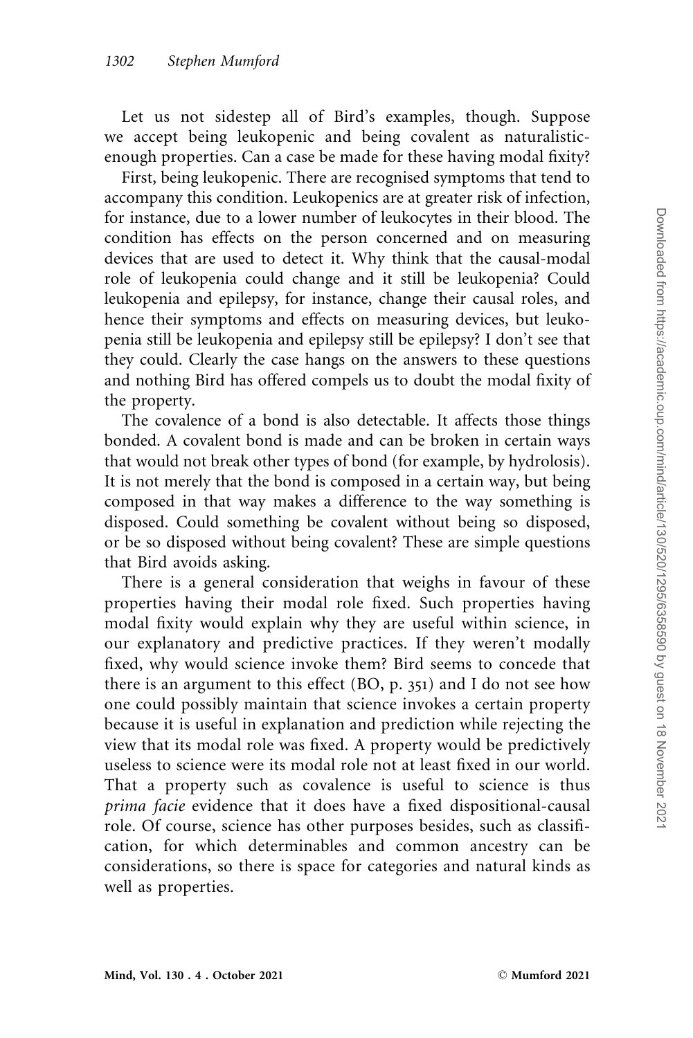Let us not sidestep all of Bird's examples, though. Suppose we accept being leukopenic and being covalent as naturalisticenough properties. Can a case be made for these having modal fixity?

First, being leukopenic. There are recognised symptoms that tend to accompany this condition. Leukopenics are at greater risk of infection, for instance, due to a lower number of leukocytes in their blood. The condition has effects on the person concerned and on measuring devices that are used to detect it. Why think that the causal-modal role of leukopenia could change and it still be leukopenia? Could leukopenia and epilepsy, for instance, change their causal roles, and hence their symptoms and effects on measuring devices, but leukopenia still be leukopenia and epilepsy still be epilepsy? I don't see that they could. Clearly the case hangs on the answers to these questions and nothing Bird has offered compels us to doubt the modal fixity of the property.

The covalence of a bond is also detectable. It affects those things bonded. A covalent bond is made and can be broken in certain ways that would not break other types of bond (for example, by hydrolosis). It is not merely that the bond is composed in a certain way, but being composed in that way makes a difference to the way something is disposed. Could something be covalent without being so disposed, or be so disposed without being covalent? These are simple questions that Bird avoids asking.

There is a general consideration that weighs in favour of these properties having their modal role fixed. Such properties having modal fixity would explain why they are useful within science, in our explanatory and predictive practices. If they weren't modally fixed, why would science invoke them? Bird seems to concede that there is an argument to this effect (BO, p. 351) and I do not see how one could possibly maintain that science invokes a certain property because it is useful in explanation and prediction while rejecting the view that its modal role was fixed. A property would be predictively useless to science were its modal role not at least fixed in our world. That a property such as covalence is useful to science is thus prima facie evidence that it does have a fixed dispositional-causal role. Of course, science has other purposes besides, such as classification, for which determinables and common ancestry can be considerations, so there is space for categories and natural kinds as well as properties.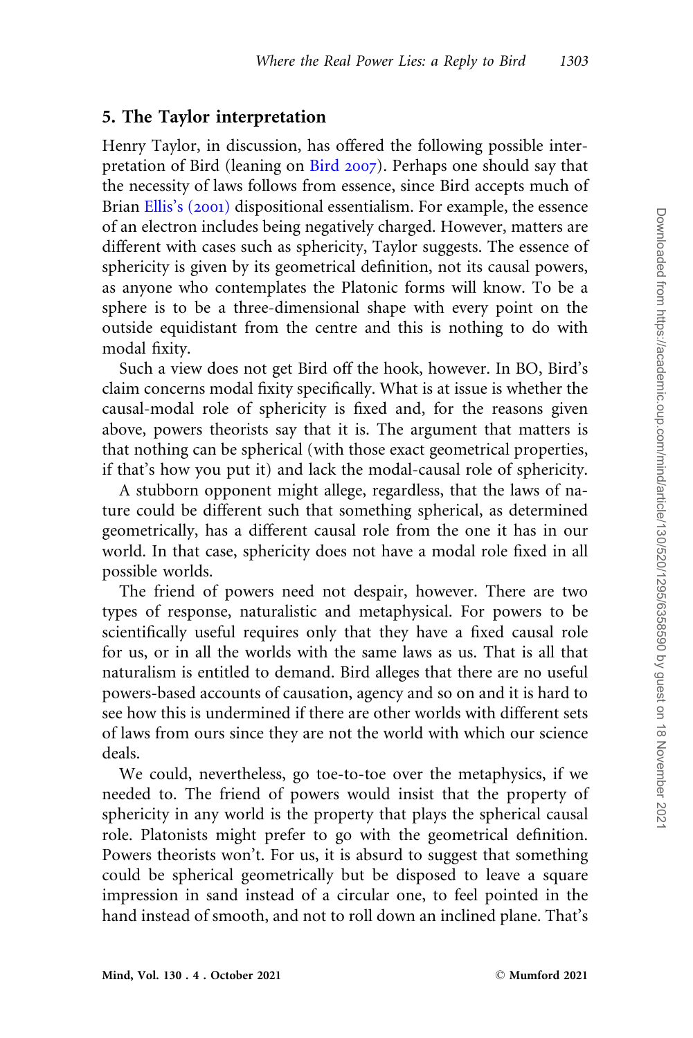# 5. The Taylor interpretation

Henry Taylor, in discussion, has offered the following possible inter-pretation of [Bird](#page-13-0) (leaning on Bird 2007). Perhaps one should say that the necessity of laws follows from essence, since Bird accepts much of Brian [Ellis's \(](#page-13-0)2001) dispositional essentialism. For example, the essence of an electron includes being negatively charged. However, matters are different with cases such as sphericity, Taylor suggests. The essence of sphericity is given by its geometrical definition, not its causal powers, as anyone who contemplates the Platonic forms will know. To be a sphere is to be a three-dimensional shape with every point on the outside equidistant from the centre and this is nothing to do with modal fixity.

Such a view does not get Bird off the hook, however. In BO, Bird's claim concerns modal fixity specifically. What is at issue is whether the causal-modal role of sphericity is fixed and, for the reasons given above, powers theorists say that it is. The argument that matters is that nothing can be spherical (with those exact geometrical properties, if that's how you put it) and lack the modal-causal role of sphericity.

A stubborn opponent might allege, regardless, that the laws of nature could be different such that something spherical, as determined geometrically, has a different causal role from the one it has in our world. In that case, sphericity does not have a modal role fixed in all possible worlds.

The friend of powers need not despair, however. There are two types of response, naturalistic and metaphysical. For powers to be scientifically useful requires only that they have a fixed causal role for us, or in all the worlds with the same laws as us. That is all that naturalism is entitled to demand. Bird alleges that there are no useful powers-based accounts of causation, agency and so on and it is hard to see how this is undermined if there are other worlds with different sets of laws from ours since they are not the world with which our science deals.

We could, nevertheless, go toe-to-toe over the metaphysics, if we needed to. The friend of powers would insist that the property of sphericity in any world is the property that plays the spherical causal role. Platonists might prefer to go with the geometrical definition. Powers theorists won't. For us, it is absurd to suggest that something could be spherical geometrically but be disposed to leave a square impression in sand instead of a circular one, to feel pointed in the hand instead of smooth, and not to roll down an inclined plane. That's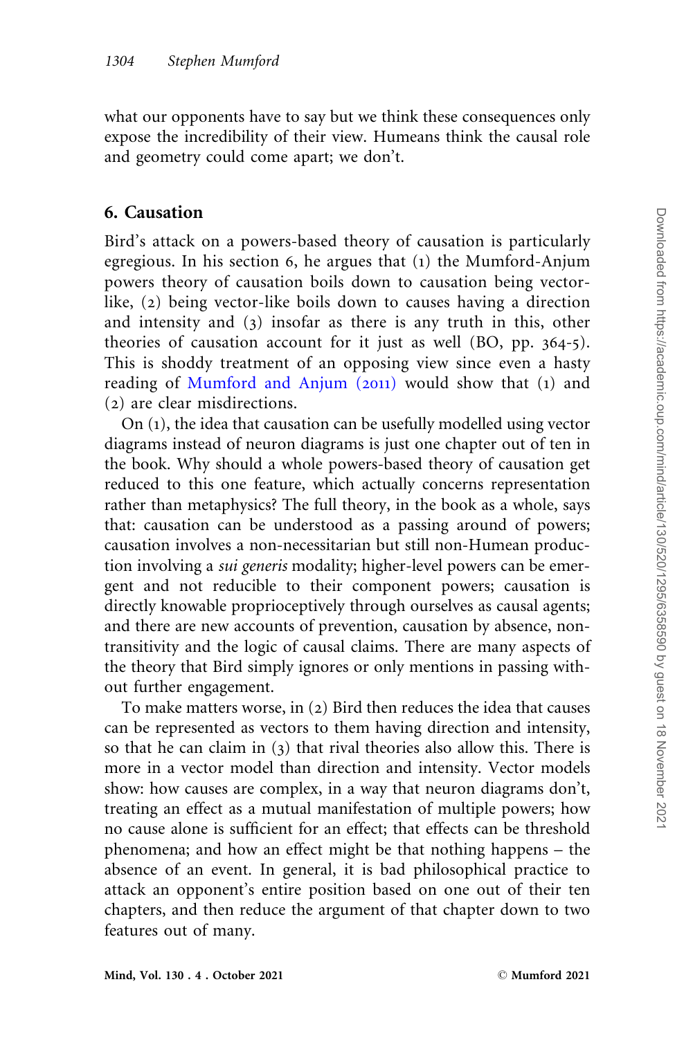what our opponents have to say but we think these consequences only expose the incredibility of their view. Humeans think the causal role and geometry could come apart; we don't.

### 6. Causation

Bird's attack on a powers-based theory of causation is particularly egregious. In his section 6, he argues that (1) the Mumford-Anjum powers theory of causation boils down to causation being vectorlike, (2) being vector-like boils down to causes having a direction and intensity and (3) insofar as there is any truth in this, other theories of causation account for it just as well (BO, pp. 364-5). This is shoddy treatment of an opposing view since even a hasty reading of [Mumford and Anjum \(](#page-14-0)2011) would show that (1) and (2) are clear misdirections.

On (1), the idea that causation can be usefully modelled using vector diagrams instead of neuron diagrams is just one chapter out of ten in the book. Why should a whole powers-based theory of causation get reduced to this one feature, which actually concerns representation rather than metaphysics? The full theory, in the book as a whole, says that: causation can be understood as a passing around of powers; causation involves a non-necessitarian but still non-Humean production involving a sui generis modality; higher-level powers can be emergent and not reducible to their component powers; causation is directly knowable proprioceptively through ourselves as causal agents; and there are new accounts of prevention, causation by absence, nontransitivity and the logic of causal claims. There are many aspects of the theory that Bird simply ignores or only mentions in passing without further engagement.

To make matters worse, in (2) Bird then reduces the idea that causes can be represented as vectors to them having direction and intensity, so that he can claim in (3) that rival theories also allow this. There is more in a vector model than direction and intensity. Vector models show: how causes are complex, in a way that neuron diagrams don't, treating an effect as a mutual manifestation of multiple powers; how no cause alone is sufficient for an effect; that effects can be threshold phenomena; and how an effect might be that nothing happens – the absence of an event. In general, it is bad philosophical practice to attack an opponent's entire position based on one out of their ten chapters, and then reduce the argument of that chapter down to two features out of many.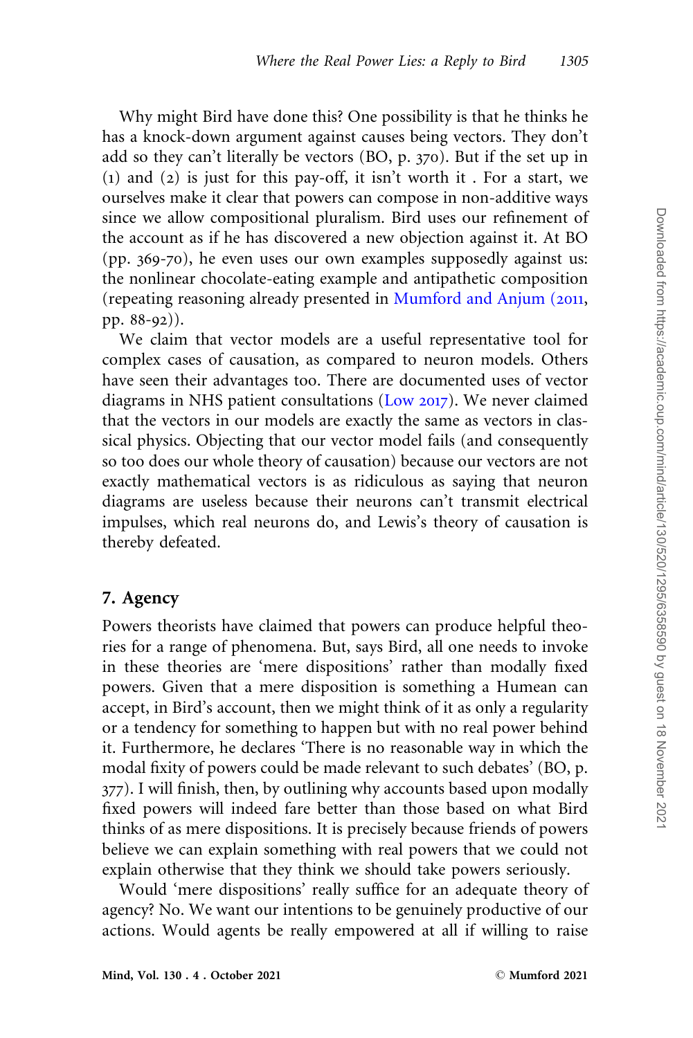Why might Bird have done this? One possibility is that he thinks he has a knock-down argument against causes being vectors. They don't add so they can't literally be vectors (BO, p. 370). But if the set up in (1) and (2) is just for this pay-off, it isn't worth it . For a start, we ourselves make it clear that powers can compose in non-additive ways since we allow compositional pluralism. Bird uses our refinement of the account as if he has discovered a new objection against it. At BO (pp. 369-70), he even uses our own examples supposedly against us: the nonlinear chocolate-eating example and antipathetic composition (repeating reasoning already presented in [Mumford and Anjum \(](#page-14-0)2011, pp. 88-92)).

We claim that vector models are a useful representative tool for complex cases of causation, as compared to neuron models. Others have seen their advantages too. There are documented uses of vector diagrams in NHS patient consultations [\(Low](#page-13-0) 2017). We never claimed that the vectors in our models are exactly the same as vectors in classical physics. Objecting that our vector model fails (and consequently so too does our whole theory of causation) because our vectors are not exactly mathematical vectors is as ridiculous as saying that neuron diagrams are useless because their neurons can't transmit electrical impulses, which real neurons do, and Lewis's theory of causation is thereby defeated.

### 7. Agency

Powers theorists have claimed that powers can produce helpful theories for a range of phenomena. But, says Bird, all one needs to invoke in these theories are 'mere dispositions' rather than modally fixed powers. Given that a mere disposition is something a Humean can accept, in Bird's account, then we might think of it as only a regularity or a tendency for something to happen but with no real power behind it. Furthermore, he declares 'There is no reasonable way in which the modal fixity of powers could be made relevant to such debates' (BO, p. 377). I will finish, then, by outlining why accounts based upon modally fixed powers will indeed fare better than those based on what Bird thinks of as mere dispositions. It is precisely because friends of powers believe we can explain something with real powers that we could not explain otherwise that they think we should take powers seriously.

Would 'mere dispositions' really suffice for an adequate theory of agency? No. We want our intentions to be genuinely productive of our actions. Would agents be really empowered at all if willing to raise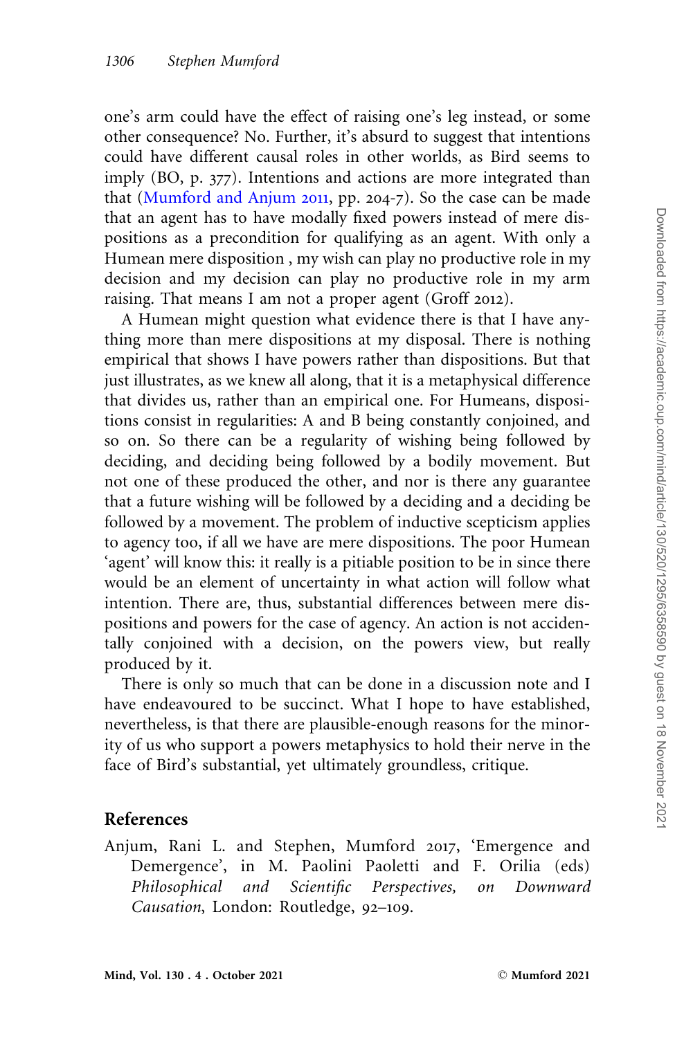<span id="page-12-0"></span>one's arm could have the effect of raising one's leg instead, or some other consequence? No. Further, it's absurd to suggest that intentions could have different causal roles in other worlds, as Bird seems to imply (BO, p. 377). Intentions and actions are more integrated than that ([Mumford and Anjum](#page-14-0) 2011, pp. 204-7). So the case can be made that an agent has to have modally fixed powers instead of mere dispositions as a precondition for qualifying as an agent. With only a Humean mere disposition , my wish can play no productive role in my decision and my decision can play no productive role in my arm raising. That means I am not a proper agent (Groff 2012).

A Humean might question what evidence there is that I have anything more than mere dispositions at my disposal. There is nothing empirical that shows I have powers rather than dispositions. But that just illustrates, as we knew all along, that it is a metaphysical difference that divides us, rather than an empirical one. For Humeans, dispositions consist in regularities: A and B being constantly conjoined, and so on. So there can be a regularity of wishing being followed by deciding, and deciding being followed by a bodily movement. But not one of these produced the other, and nor is there any guarantee that a future wishing will be followed by a deciding and a deciding be followed by a movement. The problem of inductive scepticism applies to agency too, if all we have are mere dispositions. The poor Humean 'agent' will know this: it really is a pitiable position to be in since there would be an element of uncertainty in what action will follow what intention. There are, thus, substantial differences between mere dispositions and powers for the case of agency. An action is not accidentally conjoined with a decision, on the powers view, but really produced by it.

There is only so much that can be done in a discussion note and I have endeavoured to be succinct. What I hope to have established, nevertheless, is that there are plausible-enough reasons for the minority of us who support a powers metaphysics to hold their nerve in the face of Bird's substantial, yet ultimately groundless, critique.

## References

Anjum, Rani L. and Stephen, Mumford 2017, 'Emergence and Demergence', in M. Paolini Paoletti and F. Orilia (eds) Philosophical and Scientific Perspectives, on Downward Causation, London: Routledge, 92–109.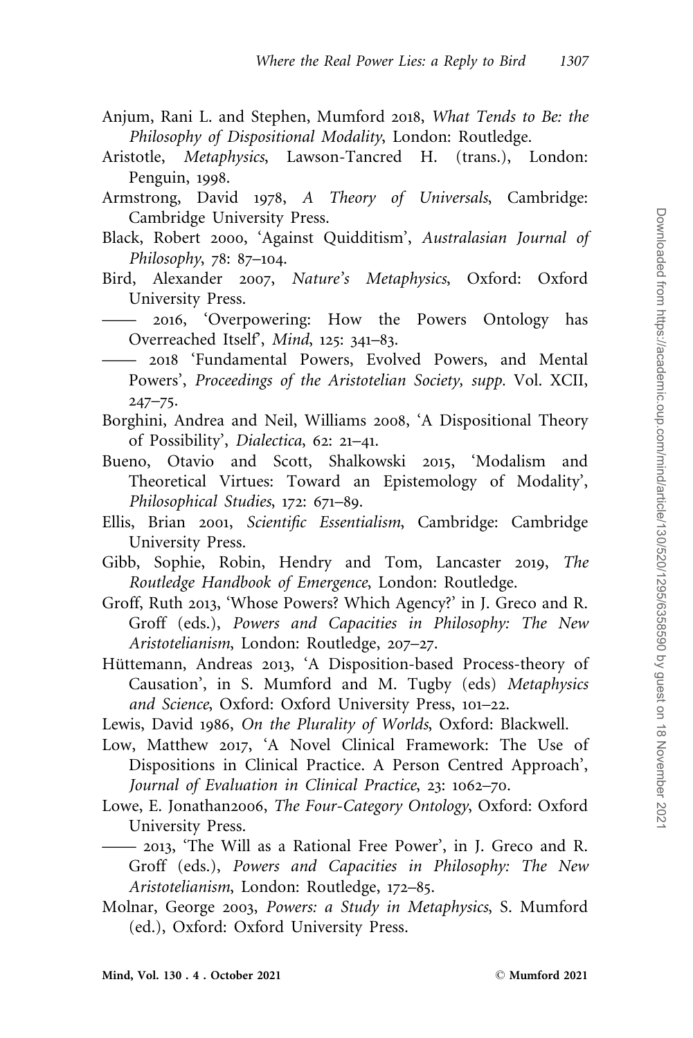- <span id="page-13-0"></span>Anjum, Rani L. and Stephen, Mumford 2018, What Tends to Be: the Philosophy of Dispositional Modality, London: Routledge.
- Aristotle, Metaphysics, Lawson-Tancred H. (trans.), London: Penguin, 1998.
- Armstrong, David 1978, A Theory of Universals, Cambridge: Cambridge University Press.
- Black, Robert 2000, 'Against Quidditism', Australasian Journal of Philosophy, 78: 87–104.
- Bird, Alexander 2007, Nature's Metaphysics, Oxford: Oxford University Press.
- —— 2016, 'Overpowering: How the Powers Ontology has Overreached Itself', Mind, 125: 341–83.
- —— 2018 'Fundamental Powers, Evolved Powers, and Mental Powers', Proceedings of the Aristotelian Society, supp. Vol. XCII, 247–75.
- Borghini, Andrea and Neil, Williams 2008, 'A Dispositional Theory of Possibility', Dialectica, 62: 21–41.
- Bueno, Otavio and Scott, Shalkowski 2015, 'Modalism and Theoretical Virtues: Toward an Epistemology of Modality', Philosophical Studies, 172: 671–89.
- Ellis, Brian 2001, Scientific Essentialism, Cambridge: Cambridge University Press.
- Gibb, Sophie, Robin, Hendry and Tom, Lancaster 2019, The Routledge Handbook of Emergence, London: Routledge.
- Groff, Ruth 2013, 'Whose Powers? Which Agency?' in J. Greco and R. Groff (eds.), Powers and Capacities in Philosophy: The New Aristotelianism, London: Routledge, 207–27.
- Hüttemann, Andreas 2013, 'A Disposition-based Process-theory of Causation', in S. Mumford and M. Tugby (eds) Metaphysics and Science, Oxford: Oxford University Press, 101–22.
- Lewis, David 1986, On the Plurality of Worlds, Oxford: Blackwell.
- Low, Matthew 2017, 'A Novel Clinical Framework: The Use of Dispositions in Clinical Practice. A Person Centred Approach', Journal of Evaluation in Clinical Practice, 23: 1062–70.
- Lowe, E. Jonathan2006, The Four-Category Ontology, Oxford: Oxford University Press.
- —— 2013, 'The Will as a Rational Free Power', in J. Greco and R. Groff (eds.), Powers and Capacities in Philosophy: The New Aristotelianism, London: Routledge, 172–85.
- Molnar, George 2003, Powers: a Study in Metaphysics, S. Mumford (ed.), Oxford: Oxford University Press.